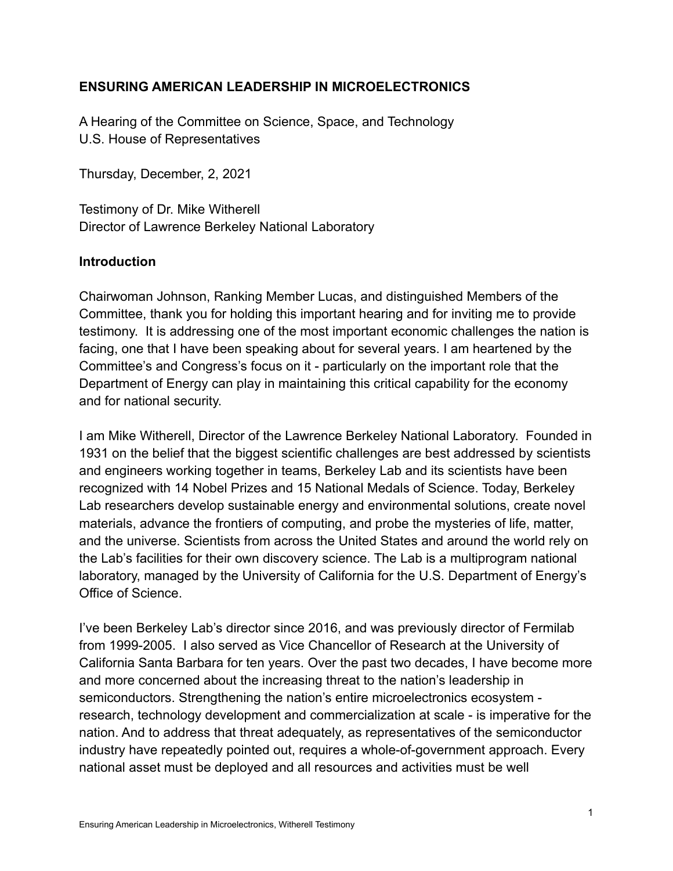## **ENSURING AMERICAN LEADERSHIP IN MICROELECTRONICS**

A Hearing of the Committee on Science, Space, and Technology U.S. House of Representatives

Thursday, December, 2, 2021

Testimony of Dr. Mike Witherell Director of Lawrence Berkeley National Laboratory

### **Introduction**

Chairwoman Johnson, Ranking Member Lucas, and distinguished Members of the Committee, thank you for holding this important hearing and for inviting me to provide testimony. It is addressing one of the most important economic challenges the nation is facing, one that I have been speaking about for several years. I am heartened by the Committee's and Congress's focus on it - particularly on the important role that the Department of Energy can play in maintaining this critical capability for the economy and for national security.

I am Mike Witherell, Director of the Lawrence Berkeley National Laboratory. Founded in 1931 on the belief that the biggest scientific challenges are best addressed by scientists and engineers working together in teams, Berkeley Lab and its scientists have been recognized with 14 Nobel Prizes and 15 National Medals of Science. Today, Berkeley Lab researchers develop sustainable energy and environmental solutions, create novel materials, advance the frontiers of computing, and probe the mysteries of life, matter, and the universe. Scientists from across the United States and around the world rely on the Lab's facilities for their own discovery science. The Lab is a multiprogram national laboratory, managed by the University of California for the U.S. Department of Energy's Office of Science.

I've been Berkeley Lab's director since 2016, and was previously director of Fermilab from 1999-2005. I also served as Vice Chancellor of Research at the University of California Santa Barbara for ten years. Over the past two decades, I have become more and more concerned about the increasing threat to the nation's leadership in semiconductors. Strengthening the nation's entire microelectronics ecosystem research, technology development and commercialization at scale - is imperative for the nation. And to address that threat adequately, as representatives of the semiconductor industry have repeatedly pointed out, requires a whole-of-government approach. Every national asset must be deployed and all resources and activities must be well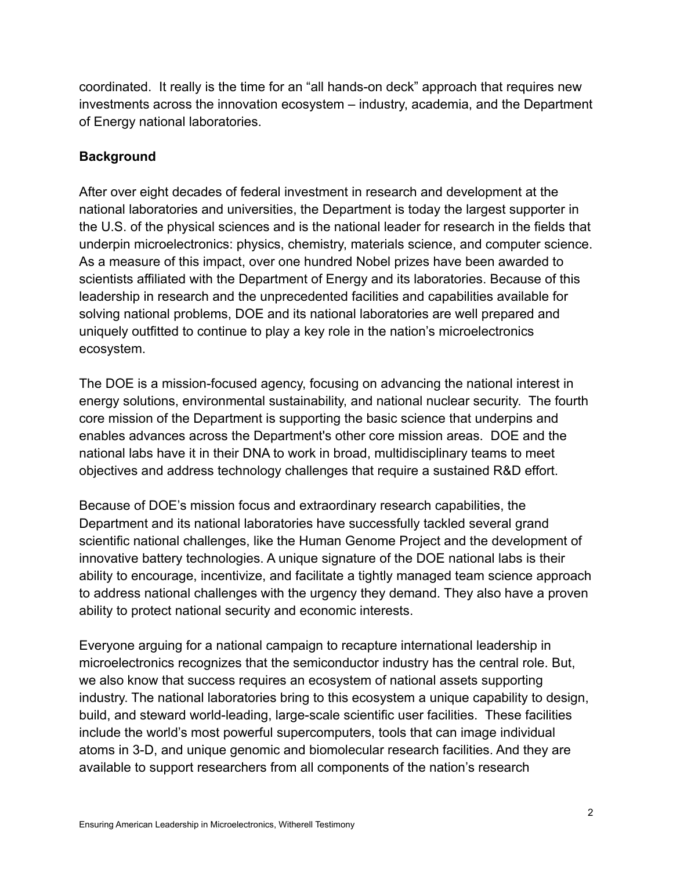coordinated. It really is the time for an "all hands-on deck" approach that requires new investments across the innovation ecosystem – industry, academia, and the Department of Energy national laboratories.

# **Background**

After over eight decades of federal investment in research and development at the national laboratories and universities, the Department is today the largest supporter in the U.S. of the physical sciences and is the national leader for research in the fields that underpin microelectronics: physics, chemistry, materials science, and computer science. As a measure of this impact, over one hundred Nobel prizes have been awarded to scientists affiliated with the Department of Energy and its laboratories. Because of this leadership in research and the unprecedented facilities and capabilities available for solving national problems, DOE and its national laboratories are well prepared and uniquely outfitted to continue to play a key role in the nation's microelectronics ecosystem.

The DOE is a mission-focused agency, focusing on advancing the national interest in energy solutions, environmental sustainability, and national nuclear security. The fourth core mission of the Department is supporting the basic science that underpins and enables advances across the Department's other core mission areas. DOE and the national labs have it in their DNA to work in broad, multidisciplinary teams to meet objectives and address technology challenges that require a sustained R&D effort.

Because of DOE's mission focus and extraordinary research capabilities, the Department and its national laboratories have successfully tackled several grand scientific national challenges, like the Human Genome Project and the development of innovative battery technologies. A unique signature of the DOE national labs is their ability to encourage, incentivize, and facilitate a tightly managed team science approach to address national challenges with the urgency they demand. They also have a proven ability to protect national security and economic interests.

Everyone arguing for a national campaign to recapture international leadership in microelectronics recognizes that the semiconductor industry has the central role. But, we also know that success requires an ecosystem of national assets supporting industry. The national laboratories bring to this ecosystem a unique capability to design, build, and steward world-leading, large-scale scientific user facilities. These facilities include the world's most powerful supercomputers, tools that can image individual atoms in 3-D, and unique genomic and biomolecular research facilities. And they are available to support researchers from all components of the nation's research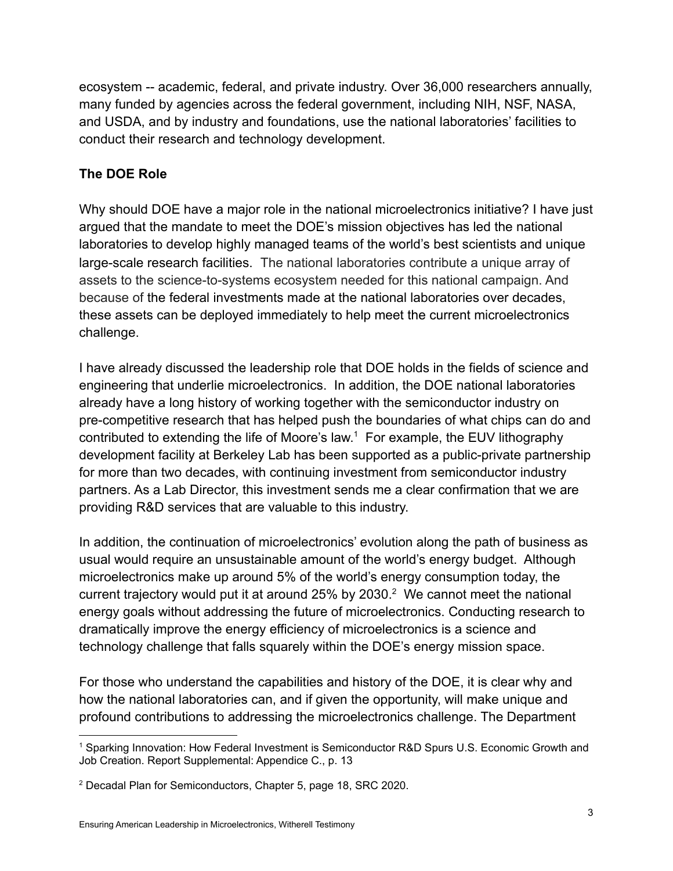ecosystem -- academic, federal, and private industry. Over 36,000 researchers annually, many funded by agencies across the federal government, including NIH, NSF, NASA, and USDA, and by industry and foundations, use the national laboratories' facilities to conduct their research and technology development.

# **The DOE Role**

Why should DOE have a major role in the national microelectronics initiative? I have just argued that the mandate to meet the DOE's mission objectives has led the national laboratories to develop highly managed teams of the world's best scientists and unique large-scale research facilities. The national laboratories contribute a unique array of assets to the science-to-systems ecosystem needed for this national campaign. And because of the federal investments made at the national laboratories over decades, these assets can be deployed immediately to help meet the current microelectronics challenge.

I have already discussed the leadership role that DOE holds in the fields of science and engineering that underlie microelectronics. In addition, the DOE national laboratories already have a long history of working together with the semiconductor industry on pre-competitive research that has helped push the boundaries of what chips can do and contributed to extending the life of Moore's law. <sup>1</sup> For example, the EUV lithography development facility at Berkeley Lab has been supported as a public-private partnership for more than two decades, with continuing investment from semiconductor industry partners. As a Lab Director, this investment sends me a clear confirmation that we are providing R&D services that are valuable to this industry.

In addition, the continuation of microelectronics' evolution along the path of business as usual would require an unsustainable amount of the world's energy budget. Although microelectronics make up around 5% of the world's energy consumption today, the current trajectory would put it at around  $25\%$  by  $2030.<sup>2</sup>$  We cannot meet the national energy goals without addressing the future of microelectronics. Conducting research to dramatically improve the energy efficiency of microelectronics is a science and technology challenge that falls squarely within the DOE's energy mission space.

For those who understand the capabilities and history of the DOE, it is clear why and how the national laboratories can, and if given the opportunity, will make unique and profound contributions to addressing the microelectronics challenge. The Department

<sup>1</sup> Sparking Innovation: How Federal Investment is Semiconductor R&D Spurs U.S. Economic Growth and Job Creation. Report Supplemental: Appendice C., p. 13

<sup>2</sup> Decadal Plan for Semiconductors, Chapter 5, page 18, SRC 2020.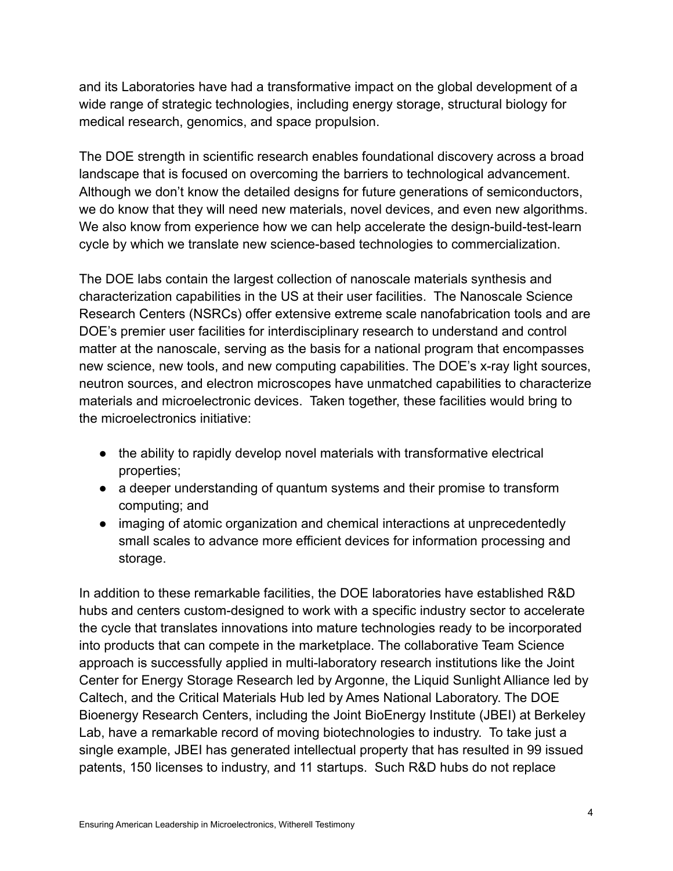and its Laboratories have had a transformative impact on the global development of a wide range of strategic technologies, including energy storage, structural biology for medical research, genomics, and space propulsion.

The DOE strength in scientific research enables foundational discovery across a broad landscape that is focused on overcoming the barriers to technological advancement. Although we don't know the detailed designs for future generations of semiconductors, we do know that they will need new materials, novel devices, and even new algorithms. We also know from experience how we can help accelerate the design-build-test-learn cycle by which we translate new science-based technologies to commercialization.

The DOE labs contain the largest collection of nanoscale materials synthesis and characterization capabilities in the US at their user facilities. The Nanoscale Science Research Centers (NSRCs) offer extensive extreme scale nanofabrication tools and are DOE's premier user facilities for interdisciplinary research to understand and control matter at the nanoscale, serving as the basis for a national program that encompasses new science, new tools, and new computing capabilities. The DOE's x-ray light sources, neutron sources, and electron microscopes have unmatched capabilities to characterize materials and microelectronic devices. Taken together, these facilities would bring to the microelectronics initiative:

- the ability to rapidly develop novel materials with transformative electrical properties;
- a deeper understanding of quantum systems and their promise to transform computing; and
- imaging of atomic organization and chemical interactions at unprecedentedly small scales to advance more efficient devices for information processing and storage.

In addition to these remarkable facilities, the DOE laboratories have established R&D hubs and centers custom-designed to work with a specific industry sector to accelerate the cycle that translates innovations into mature technologies ready to be incorporated into products that can compete in the marketplace. The collaborative Team Science approach is successfully applied in multi-laboratory research institutions like the Joint Center for Energy Storage Research led by Argonne, the Liquid Sunlight Alliance led by Caltech, and the Critical Materials Hub led by Ames National Laboratory. The DOE Bioenergy Research Centers, including the Joint BioEnergy Institute (JBEI) at Berkeley Lab, have a remarkable record of moving biotechnologies to industry. To take just a single example, JBEI has generated intellectual property that has resulted in 99 issued patents, 150 licenses to industry, and 11 startups. Such R&D hubs do not replace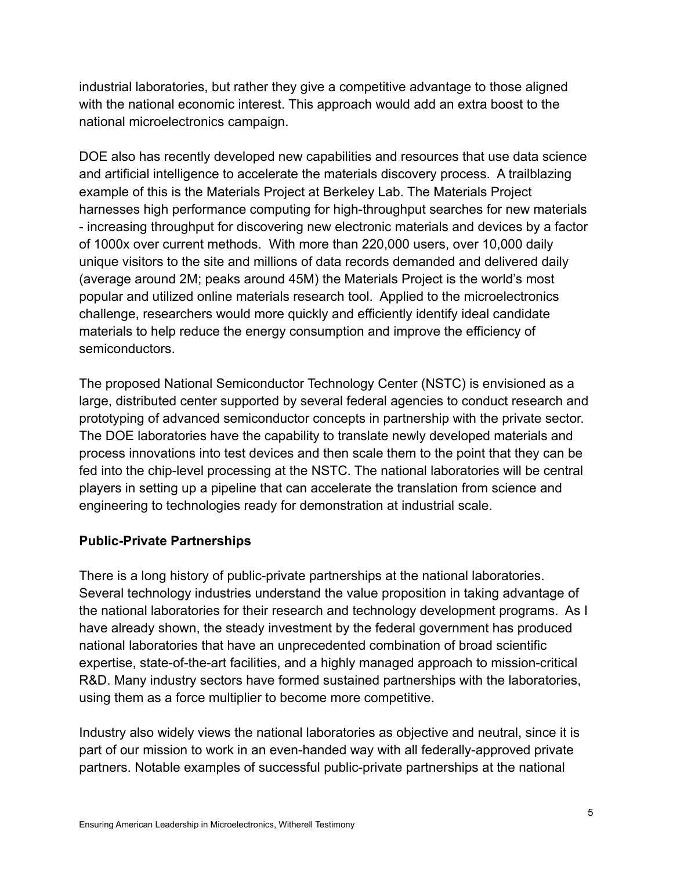industrial laboratories, but rather they give a competitive advantage to those aligned with the national economic interest. This approach would add an extra boost to the national microelectronics campaign.

DOE also has recently developed new capabilities and resources that use data science and artificial intelligence to accelerate the materials discovery process. A trailblazing example of this is the Materials Project at Berkeley Lab. The Materials Project harnesses high performance computing for high-throughput searches for new materials - increasing throughput for discovering new electronic materials and devices by a factor of 1000x over current methods. With more than 220,000 users, over 10,000 daily unique visitors to the site and millions of data records demanded and delivered daily (average around 2M; peaks around 45M) the Materials Project is the world's most popular and utilized online materials research tool. Applied to the microelectronics challenge, researchers would more quickly and efficiently identify ideal candidate materials to help reduce the energy consumption and improve the efficiency of semiconductors.

The proposed National Semiconductor Technology Center (NSTC) is envisioned as a large, distributed center supported by several federal agencies to conduct research and prototyping of advanced semiconductor concepts in partnership with the private sector. The DOE laboratories have the capability to translate newly developed materials and process innovations into test devices and then scale them to the point that they can be fed into the chip-level processing at the NSTC. The national laboratories will be central players in setting up a pipeline that can accelerate the translation from science and engineering to technologies ready for demonstration at industrial scale.

## **Public-Private Partnerships**

There is a long history of public-private partnerships at the national laboratories. Several technology industries understand the value proposition in taking advantage of the national laboratories for their research and technology development programs. As I have already shown, the steady investment by the federal government has produced national laboratories that have an unprecedented combination of broad scientific expertise, state-of-the-art facilities, and a highly managed approach to mission-critical R&D. Many industry sectors have formed sustained partnerships with the laboratories, using them as a force multiplier to become more competitive.

Industry also widely views the national laboratories as objective and neutral, since it is part of our mission to work in an even-handed way with all federally-approved private partners. Notable examples of successful public-private partnerships at the national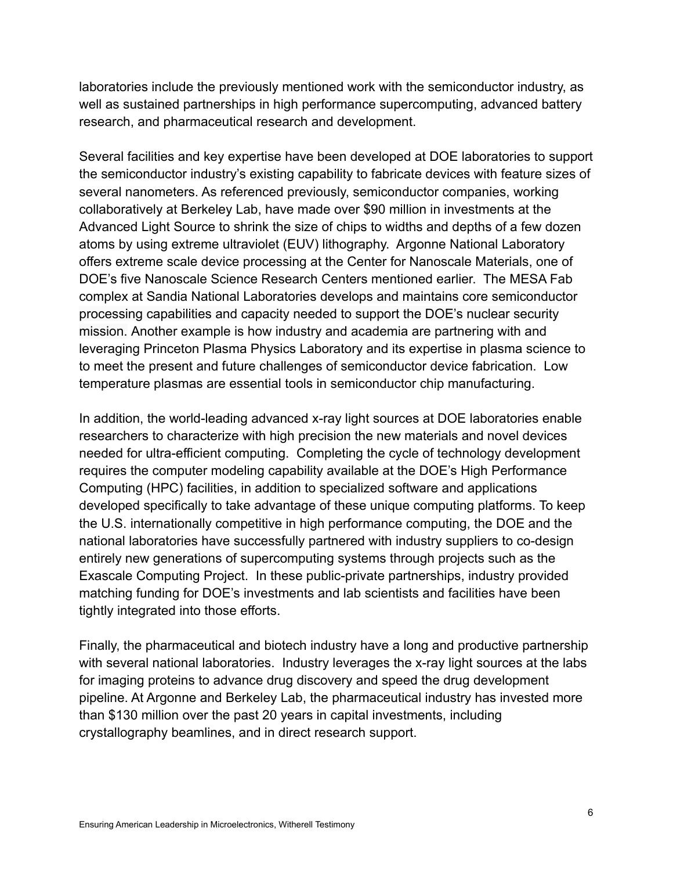laboratories include the previously mentioned work with the semiconductor industry, as well as sustained partnerships in high performance supercomputing, advanced battery research, and pharmaceutical research and development.

Several facilities and key expertise have been developed at DOE laboratories to support the semiconductor industry's existing capability to fabricate devices with feature sizes of several nanometers. As referenced previously, semiconductor companies, working collaboratively at Berkeley Lab, have made over \$90 million in investments at the Advanced Light Source to shrink the size of chips to widths and depths of a few dozen atoms by using extreme ultraviolet (EUV) lithography. Argonne National Laboratory offers extreme scale device processing at the Center for Nanoscale Materials, one of DOE's five Nanoscale Science Research Centers mentioned earlier. The MESA Fab complex at Sandia National Laboratories develops and maintains core semiconductor processing capabilities and capacity needed to support the DOE's nuclear security mission. Another example is how industry and academia are partnering with and leveraging Princeton Plasma Physics Laboratory and its expertise in plasma science to to meet the present and future challenges of semiconductor device fabrication. Low temperature plasmas are essential tools in semiconductor chip manufacturing.

In addition, the world-leading advanced x-ray light sources at DOE laboratories enable researchers to characterize with high precision the new materials and novel devices needed for ultra-efficient computing. Completing the cycle of technology development requires the computer modeling capability available at the DOE's High Performance Computing (HPC) facilities, in addition to specialized software and applications developed specifically to take advantage of these unique computing platforms. To keep the U.S. internationally competitive in high performance computing, the DOE and the national laboratories have successfully partnered with industry suppliers to co-design entirely new generations of supercomputing systems through projects such as the Exascale Computing Project. In these public-private partnerships, industry provided matching funding for DOE's investments and lab scientists and facilities have been tightly integrated into those efforts.

Finally, the pharmaceutical and biotech industry have a long and productive partnership with several national laboratories. Industry leverages the x-ray light sources at the labs for imaging proteins to advance drug discovery and speed the drug development pipeline. At Argonne and Berkeley Lab, the pharmaceutical industry has invested more than \$130 million over the past 20 years in capital investments, including crystallography beamlines, and in direct research support.